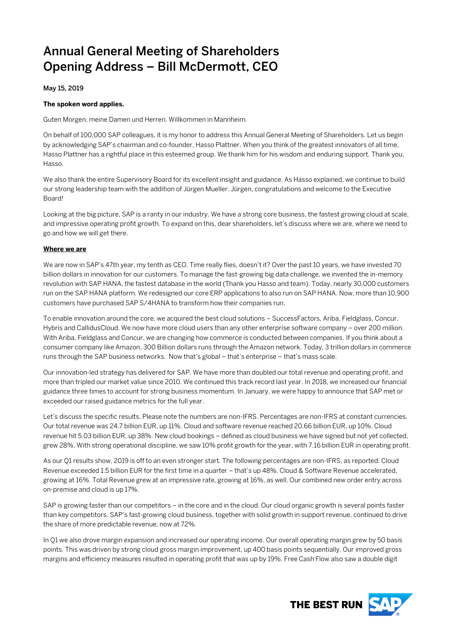# Annual General Meeting of Shareholders Opening Address – Bill McDermott, CEO

May 15, 2019

#### **The spoken word applies.**

Guten Morgen, meine Damen und Herren. Willkommen in Mannheim.

On behalf of 100,000 SAP colleagues, it is my honor to address this Annual General Meeting of Shareholders. Let us begin by acknowledging SAP's chairman and co-founder, Hasso Plattner. When you think of the greatest innovators of all time, Hasso Plattner has a rightful place in this esteemed group. We thank him for his wisdom and enduring support. Thank you, Hasso.

We also thank the entire Supervisory Board for its excellent insight and guidance. As Hasso explained, we continue to build our strong leadership team with the addition of Jürgen Mueller. Jürgen, congratulations and welcome to the Executive Board!

Looking at the big picture, SAP is a rarity in our industry. We have a strong core business, the fastest growing cloud at scale, and impressive operating profit growth. To expand on this, dear shareholders, let's discuss where we are, where we need to go and how we will get there.

### **Where we are**

We are now in SAP's 47th year, my tenth as CEO. Time really flies, doesn't it? Over the past 10 years, we have invested 70 billion dollars in innovation for our customers. To manage the fast-growing big data challenge, we invented the in-memory revolution with SAP HANA, the fastest database in the world (Thank you Hasso and team). Today, nearly 30,000 customers run on the SAP HANA platform. We redesigned our core ERP applications to also run on SAP HANA. Now, more than 10,900 customers have purchased SAP S/4HANA to transform how their companies run.

To enable innovation around the core, we acquired the best cloud solutions – SuccessFactors, Ariba, Fieldglass, Concur, Hybris and CallidusCloud. We now have more cloud users than any other enterprise software company – over 200 million. With Ariba, Fieldglass and Concur, we are changing how commerce is conducted between companies. If you think about a consumer company like Amazon, 300 Billion dollars runs through the Amazon network. Today, 3 trillion dollars in commerce runs through the SAP business networks. Now that's global – that's enterprise – that's mass scale.

Our innovation-led strategy has delivered for SAP. We have more than doubled our total revenue and operating profit, and more than tripled our market value since 2010. We continued this track record last year. In 2018, we increased our financial guidance three times to account for strong business momentum. In January, we were happy to announce that SAP met or exceeded our raised guidance metrics for the full year.

Let's discuss the specific results. Please note the numbers are non-IFRS. Percentages are non-IFRS at constant currencies. Our total revenue was 24.7 billion EUR, up 11%. Cloud and software revenue reached 20.66 billion EUR, up 10%. Cloud revenue hit 5.03 billion EUR, up 38%. New cloud bookings – defined as cloud business we have signed but not yet collected, grew 28%. With strong operational discipline, we saw 10% profit growth for the year, with 7.16 billion EUR in operating profit.

As our Q1 results show, 2019 is off to an even stronger start. The following percentages are non-IFRS, as reported. Cloud Revenue exceeded 1.5 billion EUR for the first time in a quarter – that's up 48%. Cloud & Software Revenue accelerated, growing at 16%. Total Revenue grew at an impressive rate, growing at 16%, as well. Our combined new order entry across on-premise and cloud is up 17%.

SAP is growing faster than our competitors – in the core and in the cloud. Our cloud organic growth is several points faster than key competitors. SAP's fast-growing cloud business, together with solid growth in support revenue, continued to drive the share of more predictable revenue, now at 72%.

In Q1 we also drove margin expansion and increased our operating income. Our overall operating margin grew by 50 basis points. This was driven by strong cloud gross margin improvement, up 400 basis points sequentially. Our improved gross margins and efficiency measures resulted in operating profit that was up by 19%. Free Cash Flow also saw a double digit

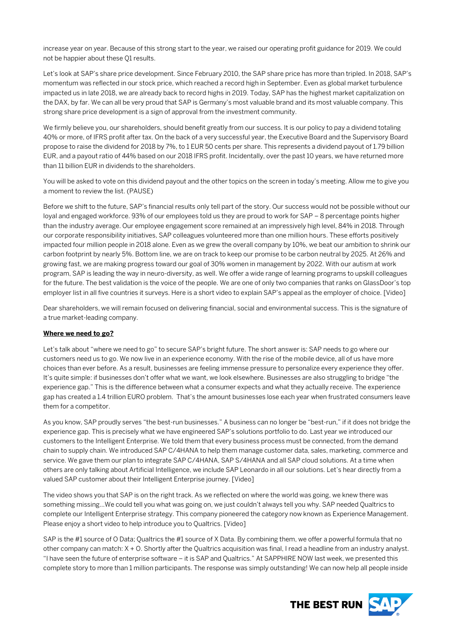increase year on year. Because of this strong start to the year, we raised our operating profit guidance for 2019. We could not be happier about these Q1 results.

Let's look at SAP's share price development. Since February 2010, the SAP share price has more than tripled. In 2018, SAP's momentum was reflected in our stock price, which reached a record high in September. Even as global market turbulence impacted us in late 2018, we are already back to record highs in 2019. Today, SAP has the highest market capitalization on the DAX, by far. We can all be very proud that SAP is Germany's most valuable brand and its most valuable company. This strong share price development is a sign of approval from the investment community.

We firmly believe you, our shareholders, should benefit greatly from our success. It is our policy to pay a dividend totaling 40% or more, of IFRS profit after tax. On the back of a very successful year, the Executive Board and the Supervisory Board propose to raise the dividend for 2018 by 7%, to 1 EUR 50 cents per share. This represents a dividend payout of 1.79 billion EUR, and a payout ratio of 44% based on our 2018 IFRS profit. Incidentally, over the past 10 years, we have returned more than 11 billion EUR in dividends to the shareholders.

You will be asked to vote on this dividend payout and the other topics on the screen in today's meeting. Allow me to give you a moment to review the list. (PAUSE)

Before we shift to the future, SAP's financial results only tell part of the story. Our success would not be possible without our loyal and engaged workforce. 93% of our employees told us they are proud to work for SAP – 8 percentage points higher than the industry average. Our employee engagement score remained at an impressively high level, 84% in 2018. Through our corporate responsibility initiatives, SAP colleagues volunteered more than one million hours. These efforts positively impacted four million people in 2018 alone. Even as we grew the overall company by 10%, we beat our ambition to shrink our carbon footprint by nearly 5%. Bottom line, we are on track to keep our promise to be carbon neutral by 2025. At 26% and growing fast, we are making progress toward our goal of 30% women in management by 2022. With our autism at work program, SAP is leading the way in neuro-diversity, as well. We offer a wide range of learning programs to upskill colleagues for the future. The best validation is the voice of the people. We are one of only two companies that ranks on GlassDoor's top employer list in all five countries it surveys. Here is a short video to explain SAP's appeal as the employer of choice. [Video]

Dear shareholders, we will remain focused on delivering financial, social and environmental success. This is the signature of a true market-leading company.

#### **Where we need to go?**

Let's talk about "where we need to go" to secure SAP's bright future. The short answer is: SAP needs to go where our customers need us to go. We now live in an experience economy. With the rise of the mobile device, all of us have more choices than ever before. As a result, businesses are feeling immense pressure to personalize every experience they offer. It's quite simple: if businesses don't offer what we want, we look elsewhere. Businesses are also struggling to bridge "the experience gap." This is the difference between what a consumer expects and what they actually receive. The experience gap has created a 1.4 trillion EURO problem. That's the amount businesses lose each year when frustrated consumers leave them for a competitor.

As you know, SAP proudly serves "the best-run businesses." A business can no longer be "best-run," if it does not bridge the experience gap. This is precisely what we have engineered SAP's solutions portfolio to do. Last year we introduced our customers to the Intelligent Enterprise. We told them that every business process must be connected, from the demand chain to supply chain. We introduced SAP C/4HANA to help them manage customer data, sales, marketing, commerce and service. We gave them our plan to integrate SAP C/4HANA, SAP S/4HANA and all SAP cloud solutions. At a time when others are only talking about Artificial Intelligence, we include SAP Leonardo in all our solutions. Let's hear directly from a valued SAP customer about their Intelligent Enterprise journey. [Video]

The video shows you that SAP is on the right track. As we reflected on where the world was going, we knew there was something missing…We could tell you what was going on, we just couldn't always tell you why. SAP needed Qualtrics to complete our Intelligent Enterprise strategy. This company pioneered the category now known as Experience Management. Please enjoy a short video to help introduce you to Qualtrics. [Video]

SAP is the #1 source of O Data; Qualtrics the #1 source of X Data. By combining them, we offer a powerful formula that no other company can match: X + O. Shortly after the Qualtrics acquisition was final, I read a headline from an industry analyst. "I have seen the future of enterprise software – it is SAP and Qualtrics." At SAPPHIRE NOW last week, we presented this complete story to more than 1 million participants. The response was simply outstanding! We can now help all people inside

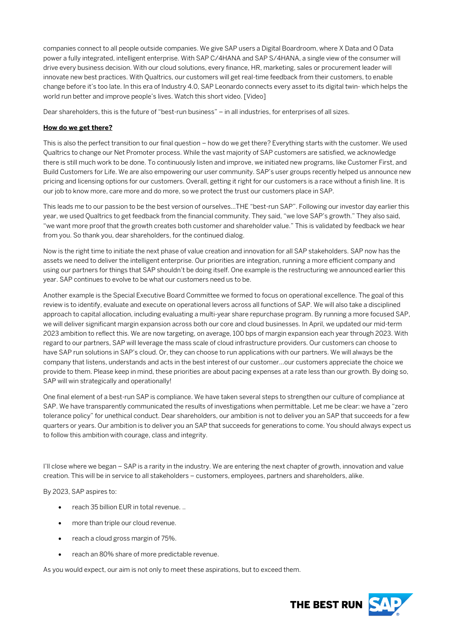companies connect to all people outside companies. We give SAP users a Digital Boardroom, where X Data and O Data power a fully integrated, intelligent enterprise. With SAP C/4HANA and SAP S/4HANA, a single view of the consumer will drive every business decision. With our cloud solutions, every finance, HR, marketing, sales or procurement leader will innovate new best practices. With Qualtrics, our customers will get real-time feedback from their customers, to enable change before it's too late. In this era of Industry 4.0, SAP Leonardo connects every asset to its digital twin- which helps the world run better and improve people's lives. Watch this short video. [Video]

Dear shareholders, this is the future of "best-run business" – in all industries, for enterprises of all sizes.

## **How do we get there?**

This is also the perfect transition to our final question – how do we get there? Everything starts with the customer. We used Qualtrics to change our Net Promoter process. While the vast majority of SAP customers are satisfied, we acknowledge there is still much work to be done. To continuously listen and improve, we initiated new programs, like Customer First, and Build Customers for Life. We are also empowering our user community. SAP's user groups recently helped us announce new pricing and licensing options for our customers. Overall, getting it right for our customers is a race without a finish line. It is our job to know more, care more and do more, so we protect the trust our customers place in SAP.

This leads me to our passion to be the best version of ourselves...THE "best-run SAP". Following our investor day earlier this year, we used Qualtrics to get feedback from the financial community. They said, "we love SAP's growth." They also said, "we want more proof that the growth creates both customer and shareholder value." This is validated by feedback we hear from you. So thank you, dear shareholders, for the continued dialog.

Now is the right time to initiate the next phase of value creation and innovation for all SAP stakeholders. SAP now has the assets we need to deliver the intelligent enterprise. Our priorities are integration, running a more efficient company and using our partners for things that SAP shouldn't be doing itself. One example is the restructuring we announced earlier this year. SAP continues to evolve to be what our customers need us to be.

Another example is the Special Executive Board Committee we formed to focus on operational excellence. The goal of this review is to identify, evaluate and execute on operational levers across all functions of SAP. We will also take a disciplined approach to capital allocation, including evaluating a multi-year share repurchase program. By running a more focused SAP, we will deliver significant margin expansion across both our core and cloud businesses. In April, we updated our mid-term 2023 ambition to reflect this. We are now targeting, on average, 100 bps of margin expansion each year through 2023. With regard to our partners, SAP will leverage the mass scale of cloud infrastructure providers. Our customers can choose to have SAP run solutions in SAP's cloud. Or, they can choose to run applications with our partners. We will always be the company that listens, understands and acts in the best interest of our customer…our customers appreciate the choice we provide to them. Please keep in mind, these priorities are about pacing expenses at a rate less than our growth. By doing so, SAP will win strategically and operationally!

One final element of a best-run SAP is compliance. We have taken several steps to strengthen our culture of compliance at SAP. We have transparently communicated the results of investigations when permittable. Let me be clear: we have a "zero tolerance policy" for unethical conduct. Dear shareholders, our ambition is not to deliver you an SAP that succeeds for a few quarters or years. Our ambition is to deliver you an SAP that succeeds for generations to come. You should always expect us to follow this ambition with courage, class and integrity.

I'll close where we began – SAP is a rarity in the industry. We are entering the next chapter of growth, innovation and value creation. This will be in service to all stakeholders – customers, employees, partners and shareholders, alike.

By 2023, SAP aspires to:

- reach 35 billion EUR in total revenue. ..
- more than triple our cloud revenue.
- reach a cloud gross margin of 75%.
- reach an 80% share of more predictable revenue.

As you would expect, our aim is not only to meet these aspirations, but to exceed them.